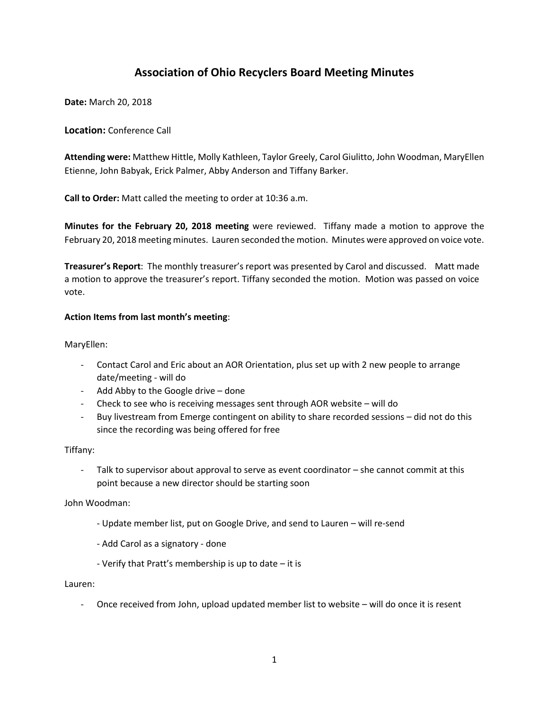# **Association of Ohio Recyclers Board Meeting Minutes**

**Date:** March 20, 2018

## **Location:** Conference Call

**Attending were:** Matthew Hittle, Molly Kathleen, Taylor Greely, Carol Giulitto, John Woodman, MaryEllen Etienne, John Babyak, Erick Palmer, Abby Anderson and Tiffany Barker.

**Call to Order:** Matt called the meeting to order at 10:36 a.m.

**Minutes for the February 20, 2018 meeting** were reviewed. Tiffany made a motion to approve the February 20, 2018 meeting minutes. Lauren seconded the motion. Minutes were approved on voice vote.

**Treasurer's Report**: The monthly treasurer's report was presented by Carol and discussed. Matt made a motion to approve the treasurer's report. Tiffany seconded the motion. Motion was passed on voice vote.

### **Action Items from last month's meeting**:

MaryEllen:

- Contact Carol and Eric about an AOR Orientation, plus set up with 2 new people to arrange date/meeting - will do
- Add Abby to the Google drive done
- Check to see who is receiving messages sent through AOR website will do
- Buy livestream from Emerge contingent on ability to share recorded sessions did not do this since the recording was being offered for free

Tiffany:

- Talk to supervisor about approval to serve as event coordinator – she cannot commit at this point because a new director should be starting soon

John Woodman:

- Update member list, put on Google Drive, and send to Lauren will re-send
- Add Carol as a signatory done
- Verify that Pratt's membership is up to date it is

Lauren:

Once received from John, upload updated member list to website – will do once it is resent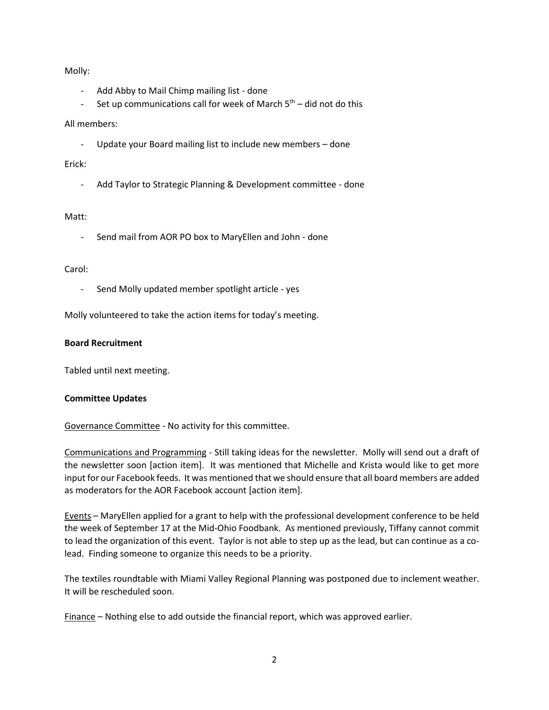Molly:

- Add Abby to Mail Chimp mailing list done
- Set up communications call for week of March  $5<sup>th</sup>$  did not do this

# All members:

- Update your Board mailing list to include new members – done

### Erick:

- Add Taylor to Strategic Planning & Development committee - done

## Matt:

- Send mail from AOR PO box to MaryEllen and John - done

### Carol:

Send Molly updated member spotlight article - yes

Molly volunteered to take the action items for today's meeting.

### **Board Recruitment**

Tabled until next meeting.

# **Committee Updates**

Governance Committee - No activity for this committee.

Communications and Programming - Still taking ideas for the newsletter. Molly will send out a draft of the newsletter soon [action item]. It was mentioned that Michelle and Krista would like to get more input for our Facebook feeds. It was mentioned that we should ensure that all board members are added as moderators for the AOR Facebook account [action item].

Events – MaryEllen applied for a grant to help with the professional development conference to be held the week of September 17 at the Mid-Ohio Foodbank. As mentioned previously, Tiffany cannot commit to lead the organization of this event. Taylor is not able to step up as the lead, but can continue as a colead. Finding someone to organize this needs to be a priority.

The textiles roundtable with Miami Valley Regional Planning was postponed due to inclement weather. It will be rescheduled soon.

Finance – Nothing else to add outside the financial report, which was approved earlier.